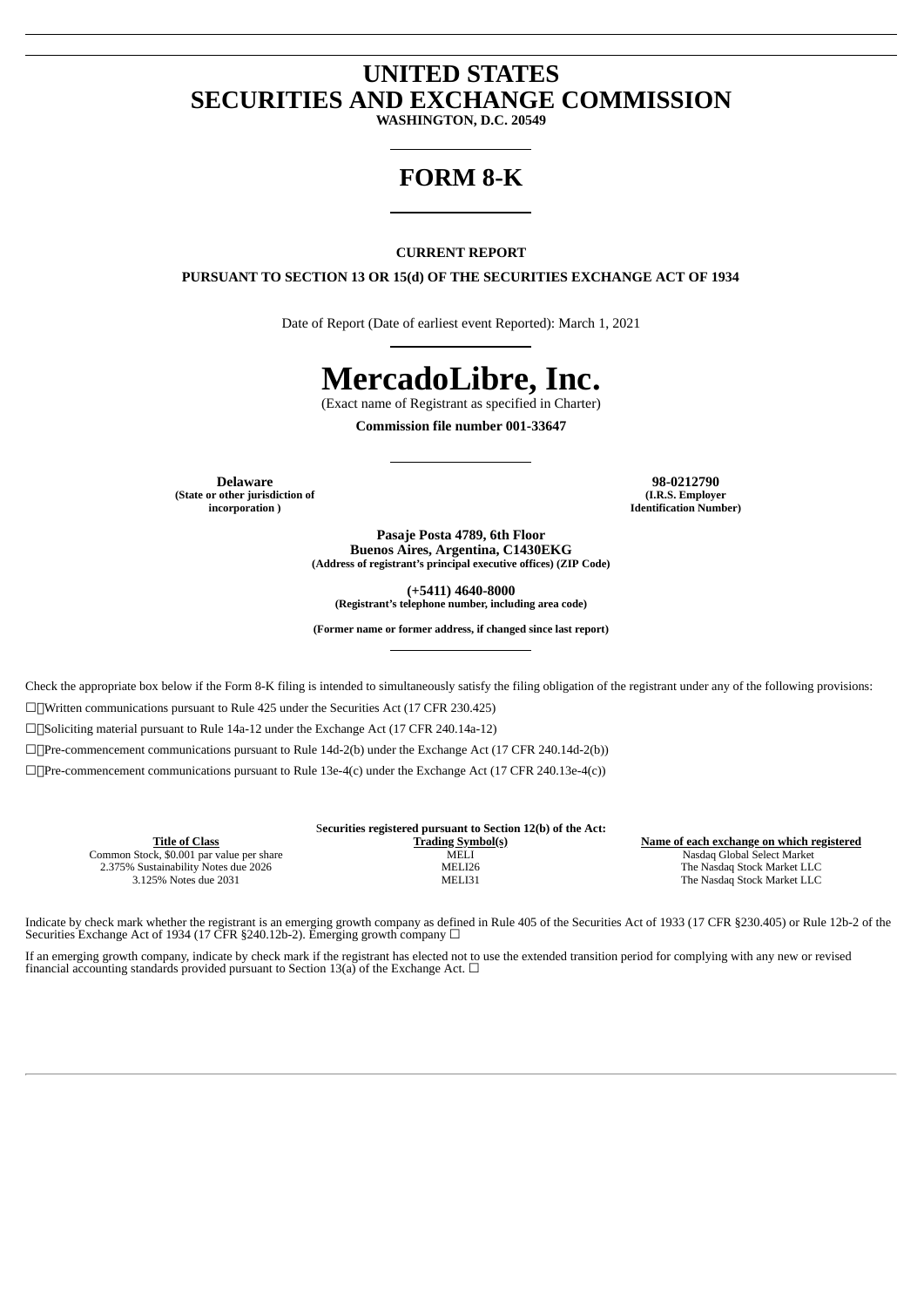# **UNITED STATES SECURITIES AND EXCHANGE COMMISSION**

**WASHINGTON, D.C. 20549**

# **FORM 8-K**

#### **CURRENT REPORT**

**PURSUANT TO SECTION 13 OR 15(d) OF THE SECURITIES EXCHANGE ACT OF 1934**

Date of Report (Date of earliest event Reported): March 1, 2021

# **MercadoLibre, Inc.**

(Exact name of Registrant as specified in Charter)

**Commission file number 001-33647**

**(State or other jurisdiction of incorporation )**

**Delaware 98-0212790 (I.R.S. Employer Identification Number)**

> **Pasaje Posta 4789, 6th Floor Buenos Aires, Argentina, C1430EKG (Address of registrant's principal executive offices) (ZIP Code)**

> > **(+5411) 4640-8000**

**(Registrant's telephone number, including area code)**

**(Former name or former address, if changed since last report)**

Check the appropriate box below if the Form 8-K filing is intended to simultaneously satisfy the filing obligation of the registrant under any of the following provisions:

☐Written communications pursuant to Rule 425 under the Securities Act (17 CFR 230.425)

☐Soliciting material pursuant to Rule 14a-12 under the Exchange Act (17 CFR 240.14a-12)

☐Pre-commencement communications pursuant to Rule 14d-2(b) under the Exchange Act (17 CFR 240.14d-2(b))

☐Pre-commencement communications pursuant to Rule 13e-4(c) under the Exchange Act (17 CFR 240.13e-4(c))

|                                           | Securities registered pursuant to Section 12(b) of the Act: |                                           |
|-------------------------------------------|-------------------------------------------------------------|-------------------------------------------|
| Title of Class                            | <b>Trading Symbol(s)</b>                                    | Name of each exchange on which registered |
| Common Stock, \$0.001 par value per share | <b>MELI</b>                                                 | Nasdag Global Select Market               |
| 2.375% Sustainability Notes due 2026      | MELI26                                                      | The Nasdag Stock Market LLC               |
| 3.125% Notes due 2031                     | MELI31                                                      | The Nasdag Stock Market LLC               |

Indicate by check mark whether the registrant is an emerging growth company as defined in Rule 405 of the Securities Act of 1933 (17 CFR §230.405) or Rule 12b-2 of the Securities Exchange Act of 1934 (17 CFR §240.12b-2). Emerging growth company □

If an emerging growth company, indicate by check mark if the registrant has elected not to use the extended transition period for complying with any new or revised financial accounting standards provided pursuant to Section 13(a) of the Exchange Act.  $\Box$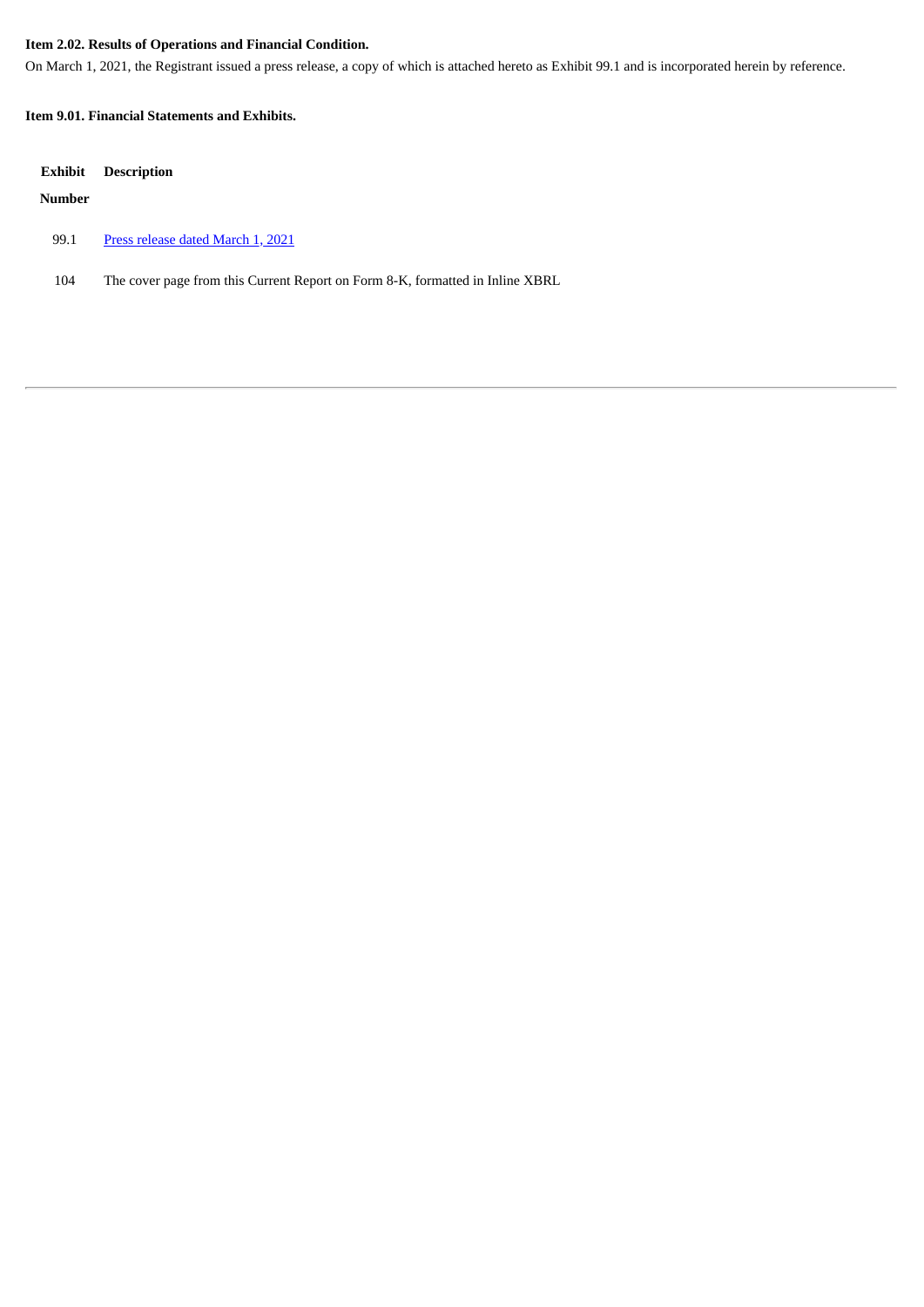# **Item 2.02. Results of Operations and Financial Condition.**

On March 1, 2021, the Registrant issued a press release, a copy of which is attached hereto as Exhibit 99.1 and is incorporated herein by reference.

#### **Item 9.01. Financial Statements and Exhibits.**

| Exhibit | <b>Description</b>                                                            |
|---------|-------------------------------------------------------------------------------|
| Number  |                                                                               |
| 99.1    | Press release dated March 1, 2021                                             |
| 104     | The cover page from this Current Report on Form 8-K, formatted in Inline XBRL |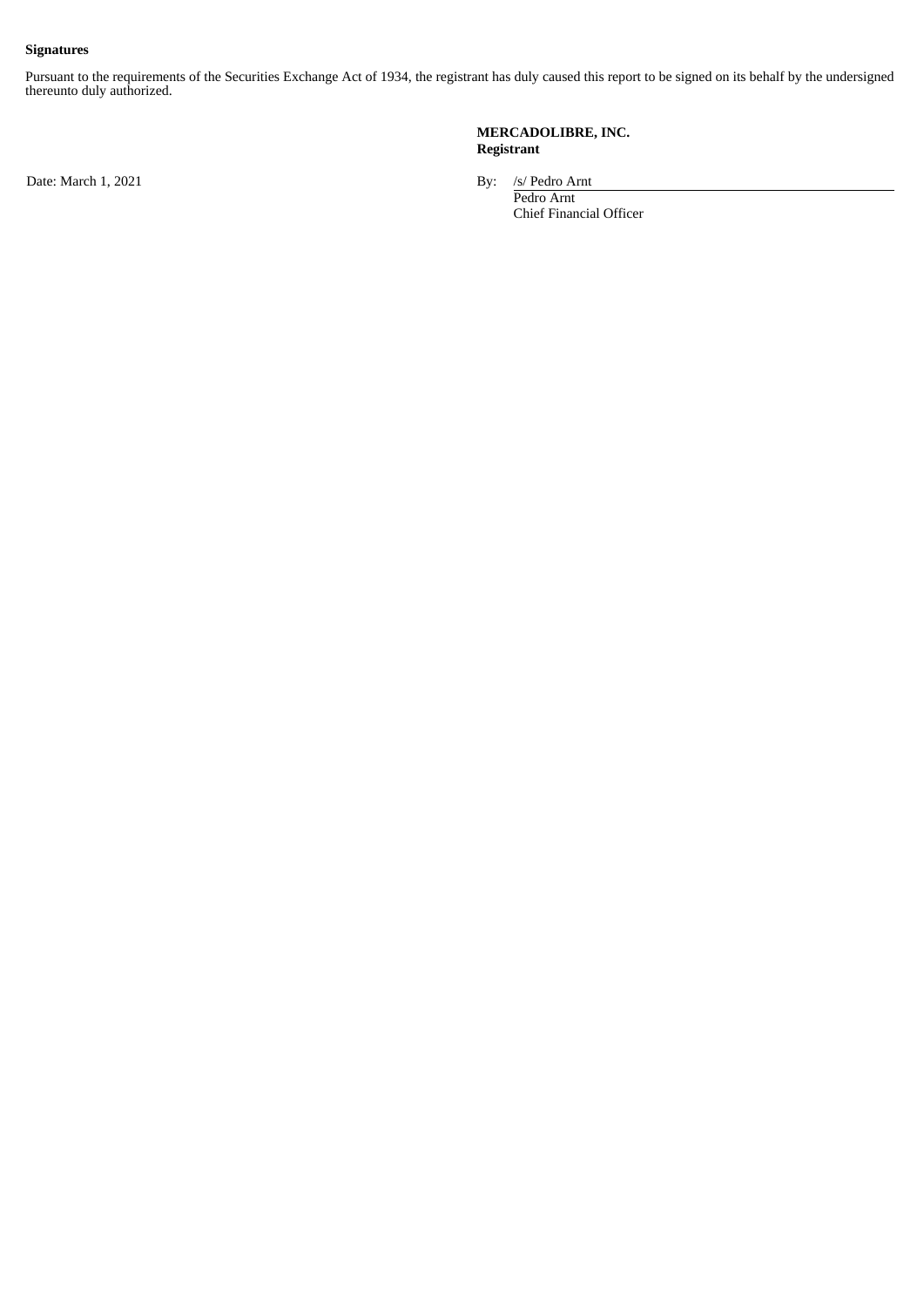#### **Signatures**

Pursuant to the requirements of the Securities Exchange Act of 1934, the registrant has duly caused this report to be signed on its behalf by the undersigned thereunto duly authorized.

Date: March 1, 2021 By: /s/ Pedro Arnt

**MERCADOLIBRE, INC. Registrant**

Pedro Arnt Chief Financial Officer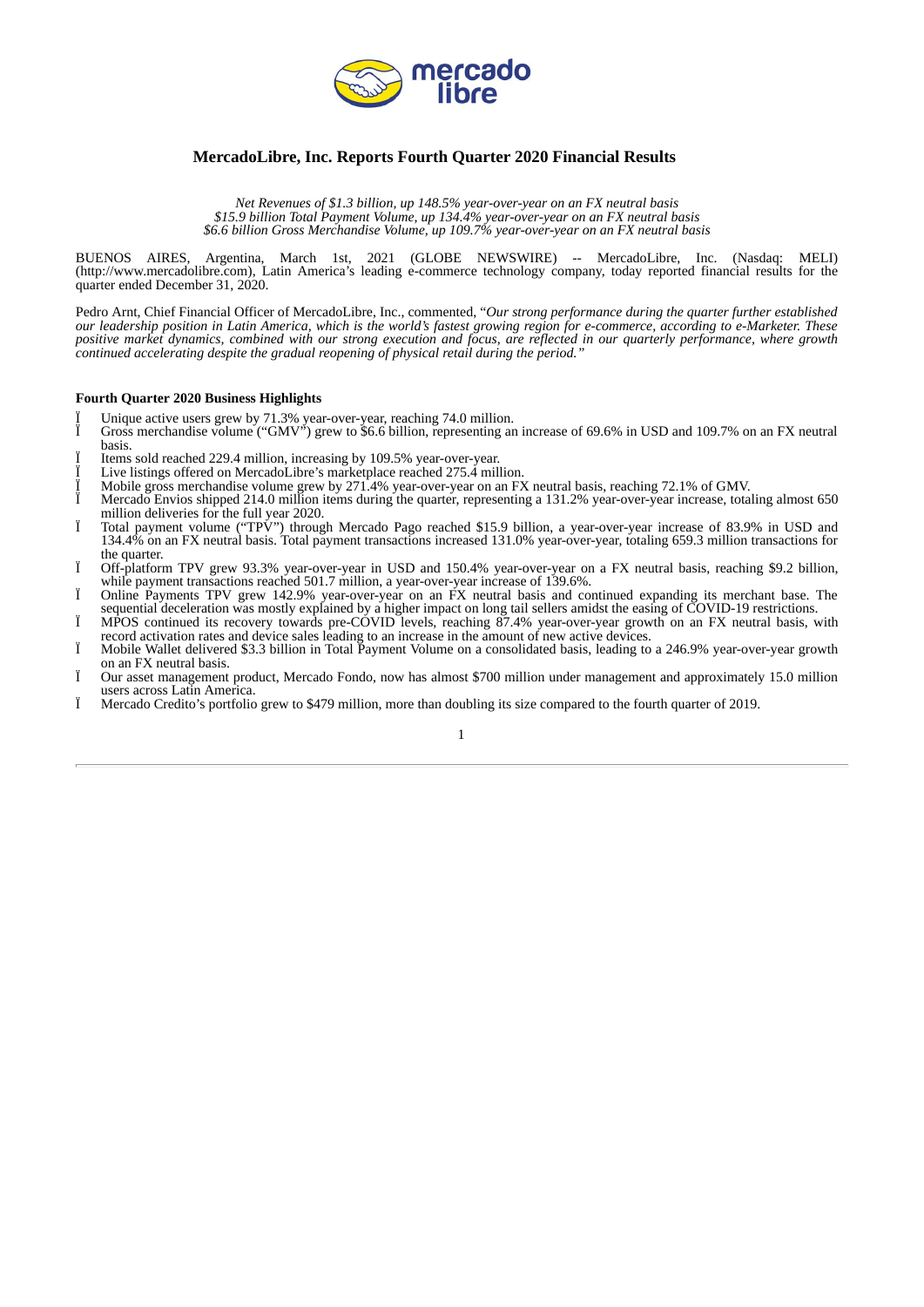

# <span id="page-3-0"></span>**MercadoLibre, Inc. Reports Fourth Quarter 2020 Financial Results**

*Net Revenues of \$1.3 billion, up 148.5% year-over-year on an FX neutral basis \$15.9 billion Total Payment Volume, up 134.4% year-over-year on an FX neutral basis \$6.6 billion Gross Merchandise Volume, up 109.7% year-over-year on an FX neutral basis*

BUENOS AIRES, Argentina, March 1st, 2021 (GLOBE NEWSWIRE) -- MercadoLibre, Inc. (Nasdaq: MELI) (http://www.mercadolibre.com), Latin America's leading e-commerce technology company, today reported financial results for the quarter ended December 31, 2020.

Pedro Arnt, Chief Financial Officer of MercadoLibre, Inc., commented, "*Our strong performance during the quarter further established* our leadership position in Latin America, which is the world's fastest growing region for e-commerce, according to e-Marketer. These positive market dynamics, combined with our strong execution and focus, are reflected in our quarterly performance, where growth *continued accelerating despite the gradual reopening of physical retail during the period."*

#### **Fourth Quarter 2020 Business Highlights**

- Ï Unique active users grew by 71.3% year-over-year, reaching 74.0 million.
- Gross merchandise volume ("GMV") grew to \$6.6 billion, representing an increase of 69.6% in USD and 109.7% on an FX neutral basis.
- Ï Items sold reached 229.4 million, increasing by 109.5% year-over-year.
- Live listings offered on MercadoLibre's marketplace reached 275.4 million.
- Ï Mobile gross merchandise volume grew by 271.4% year-over-year on an FX neutral basis, reaching 72.1% of GMV.
- Ï Mercado Envios shipped 214.0 million items during the quarter, representing a 131.2% year-over-year increase, totaling almost 650 million deliveries for the full year 2020.
- Ï Total payment volume ("TPV") through Mercado Pago reached \$15.9 billion, a year-over-year increase of 83.9% in USD and 134.4% on an FX neutral basis. Total payment transactions increased 131.0% year-over-year, totaling 659.3 million transactions for the quarter.
- Ï Off-platform TPV grew 93.3% year-over-year in USD and 150.4% year-over-year on a FX neutral basis, reaching \$9.2 billion, while payment transactions reached 501.7 million, a year-over-year increase of 139.6%.
- Ï Online Payments TPV grew 142.9% year-over-year on an FX neutral basis and continued expanding its merchant base. The sequential deceleration was mostly explained by a higher impact on long tail sellers amidst the easing of COVID-19 restrictions. Ï MPOS continued its recovery towards pre-COVID levels, reaching 87.4% year-over-year growth on an FX neutral basis, with
- record activation rates and device sales leading to an increase in the amount of new active devices. Mobile Wallet delivered \$3.3 billion in Total Payment Volume on a consolidated basis, leading to a 246.9% year-over-year growth
- on an FX neutral basis.
- Ï Our asset management product, Mercado Fondo, now has almost \$700 million under management and approximately 15.0 million users across Latin America.
- Ï Mercado Credito's portfolio grew to \$479 million, more than doubling its size compared to the fourth quarter of 2019.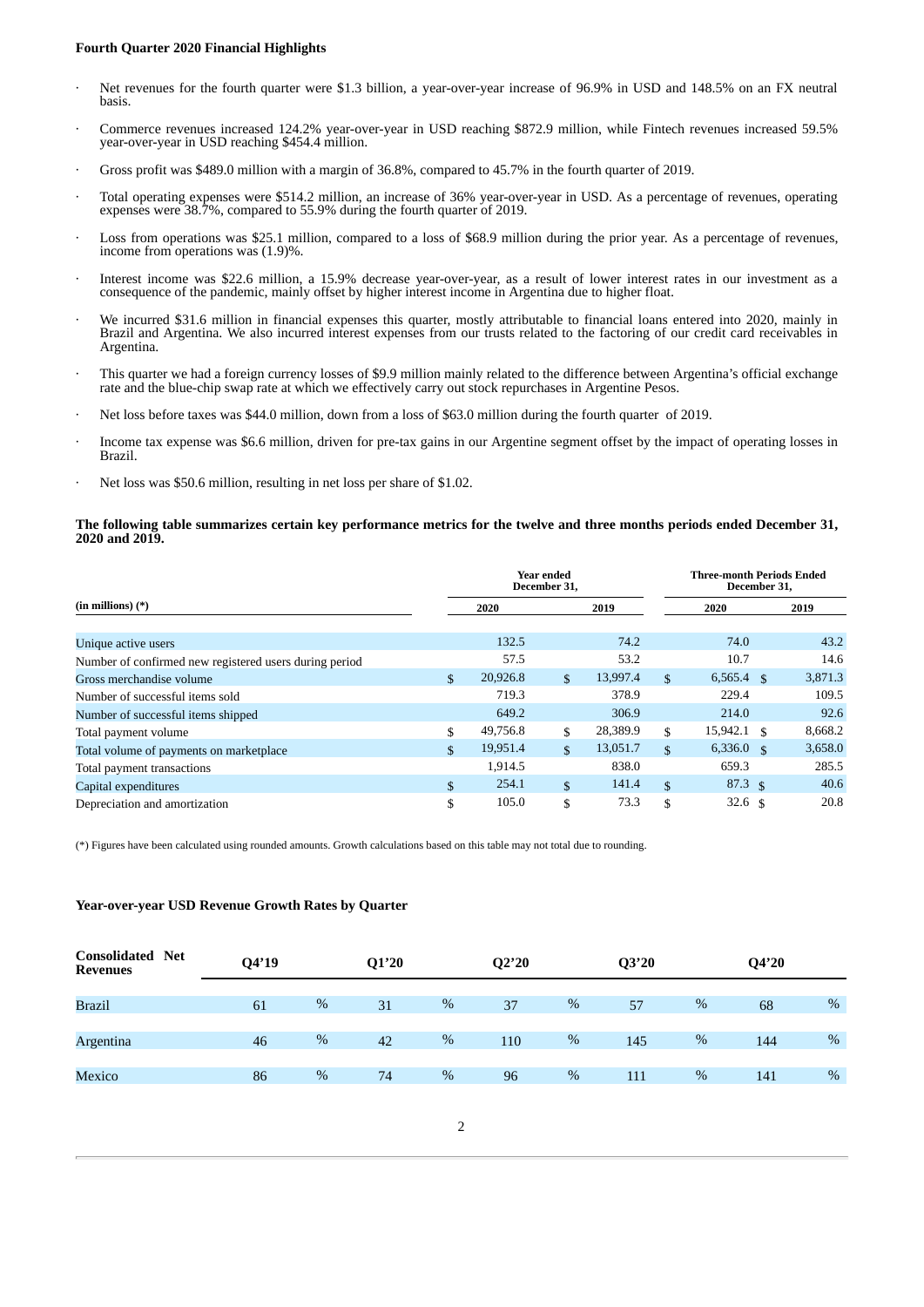#### **Fourth Quarter 2020 Financial Highlights**

- Net revenues for the fourth quarter were \$1.3 billion, a year-over-year increase of 96.9% in USD and 148.5% on an FX neutral basis.
- · Commerce revenues increased 124.2% year-over-year in USD reaching \$872.9 million, while Fintech revenues increased 59.5% year-over-year in USD reaching \$454.4 million.
- · Gross profit was \$489.0 million with a margin of 36.8%, compared to 45.7% in the fourth quarter of 2019.
- · Total operating expenses were \$514.2 million, an increase of 36% year-over-year in USD. As a percentage of revenues, operating expenses were 38.7%, compared to 55.9% during the fourth quarter of 2019.
- Loss from operations was \$25.1 million, compared to a loss of \$68.9 million during the prior year. As a percentage of revenues, income from operations was (1.9)%.
- Interest income was \$22.6 million, a 15.9% decrease year-over-year, as a result of lower interest rates in our investment as a consequence of the pandemic, mainly offset by higher interest income in Argentina due to higher float.
- · We incurred \$31.6 million in financial expenses this quarter, mostly attributable to financial loans entered into 2020, mainly in Brazil and Argentina. We also incurred interest expenses from our trusts related to the factoring of our credit card receivables in Argentina.
- · This quarter we had a foreign currency losses of \$9.9 million mainly related to the difference between Argentina's official exchange rate and the blue-chip swap rate at which we effectively carry out stock repurchases in Argentine Pesos.
- Net loss before taxes was \$44.0 million, down from a loss of \$63.0 million during the fourth quarter of 2019.
- Income tax expense was \$6.6 million, driven for pre-tax gains in our Argentine segment offset by the impact of operating losses in Brazil.
- Net loss was \$50.6 million, resulting in net loss per share of \$1.02.

#### The following table summarizes certain key performance metrics for the twelve and three months periods ended December 31, **2020 and 2019.**

|                                                        | Year ended<br>December 31, |              |          |               | <b>Three-month Periods Ended</b><br>December 31, |  |         |  |
|--------------------------------------------------------|----------------------------|--------------|----------|---------------|--------------------------------------------------|--|---------|--|
| $(in$ millions $)$ $(*)$                               | 2020                       |              | 2019     |               | 2020                                             |  | 2019    |  |
| Unique active users                                    | 132.5                      |              | 74.2     |               | 74.0                                             |  | 43.2    |  |
| Number of confirmed new registered users during period | 57.5                       |              | 53.2     |               | 10.7                                             |  | 14.6    |  |
| Gross merchandise volume                               | \$<br>20,926.8             | $\mathbf{s}$ | 13,997.4 | $\mathbf{\$}$ | 6,565.4 $\frac{1}{3}$                            |  | 3,871.3 |  |
| Number of successful items sold                        | 719.3                      |              | 378.9    |               | 229.4                                            |  | 109.5   |  |
| Number of successful items shipped                     | 649.2                      |              | 306.9    |               | 214.0                                            |  | 92.6    |  |
| Total payment volume                                   | \$<br>49,756.8             | \$           | 28,389.9 | \$            | $15,942.1$ \$                                    |  | 8,668.2 |  |
| Total volume of payments on marketplace                | \$<br>19,951.4             | \$           | 13,051.7 | \$            | $6,336.0$ \$                                     |  | 3,658.0 |  |
| Total payment transactions                             | 1,914.5                    |              | 838.0    |               | 659.3                                            |  | 285.5   |  |
| Capital expenditures                                   | \$<br>254.1                | $\mathbf{S}$ | 141.4    | $\mathbf{\$}$ | $87.3 \text{ }$                                  |  | 40.6    |  |
| Depreciation and amortization                          | \$<br>105.0                | \$           | 73.3     | \$            | 32.6 $\frac{1}{5}$                               |  | 20.8    |  |

(\*) Figures have been calculated using rounded amounts. Growth calculations based on this table may not total due to rounding.

#### **Year-over-year USD Revenue Growth Rates by Quarter**

| <b>Consolidated Net</b><br><b>Revenues</b> | Q4'19 |   | Q1'20 |   | Q2'20 |   | Q3'20 |   | Q4'20 |      |
|--------------------------------------------|-------|---|-------|---|-------|---|-------|---|-------|------|
| Brazil                                     | 61    | % | 31    | % | 37    | % | 57    | % | 68    | $\%$ |
|                                            |       |   |       |   |       |   |       |   |       |      |
| Argentina                                  | 46    | % | 42    | % | 110   | % | 145   | % | 144   | %    |
| Mexico                                     | 86    | % | 74    | % | 96    | % | 111   | % | 141   | $\%$ |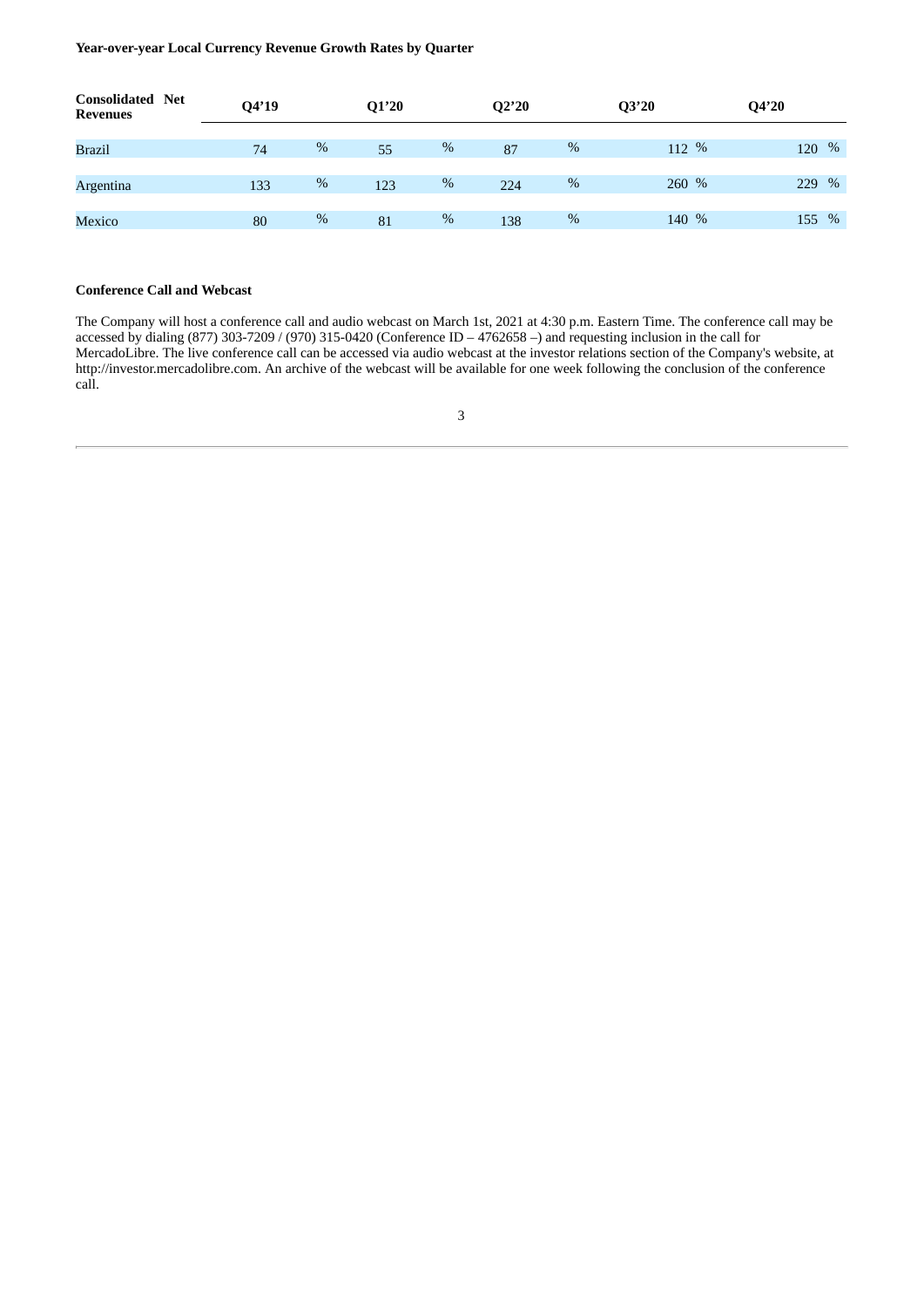**Year-over-year Local Currency Revenue Growth Rates by Quarter**

| <b>Consolidated Net</b><br><b>Revenues</b> | Q4'19 |   | Q1'20 |   | Q2'20 |      | Q3'20 | Q4'20       |
|--------------------------------------------|-------|---|-------|---|-------|------|-------|-------------|
|                                            |       |   |       |   |       |      |       |             |
| Brazil                                     | 74    | % | 55    | % | 87    | %    | 112 % | $\%$<br>120 |
|                                            |       |   |       |   |       |      |       |             |
| Argentina                                  | 133   | % | 123   | % | 224   | %    | 260 % | $\%$<br>229 |
|                                            |       |   |       |   |       |      |       |             |
| Mexico                                     | 80    | % | 81    | % | 138   | $\%$ | 140 % | 155 %       |
|                                            |       |   |       |   |       |      |       |             |

#### **Conference Call and Webcast**

The Company will host a conference call and audio webcast on March 1st, 2021 at 4:30 p.m. Eastern Time. The conference call may be accessed by dialing (877) 303-7209 / (970) 315-0420 (Conference ID – 4762658 –) and requesting inclusion in the call for MercadoLibre. The live conference call can be accessed via audio webcast at the investor relations section of the Company's website, at http://investor.mercadolibre.com. An archive of the webcast will be available for one week following the conclusion of the conference call.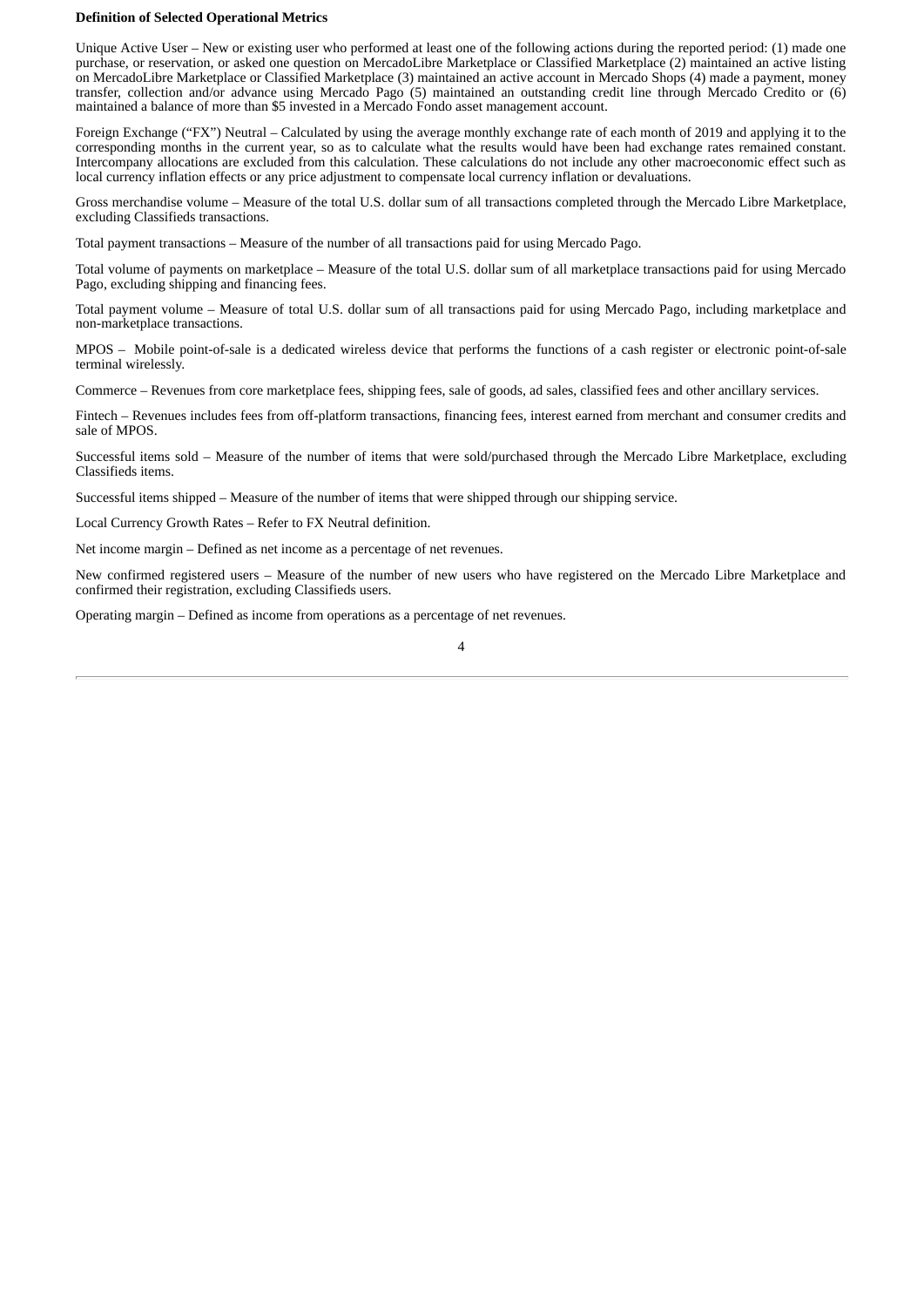#### **Definition of Selected Operational Metrics**

Unique Active User – New or existing user who performed at least one of the following actions during the reported period: (1) made one purchase, or reservation, or asked one question on MercadoLibre Marketplace or Classified Marketplace (2) maintained an active listing on MercadoLibre Marketplace or Classified Marketplace (3) maintained an active account in Mercado Shops (4) made a payment, money transfer, collection and/or advance using Mercado Pago (5) maintained an outstanding credit line through Mercado Credito or (6) maintained a balance of more than \$5 invested in a Mercado Fondo asset management account.

Foreign Exchange ("FX") Neutral – Calculated by using the average monthly exchange rate of each month of 2019 and applying it to the corresponding months in the current year, so as to calculate what the results would have been had exchange rates remained constant. Intercompany allocations are excluded from this calculation. These calculations do not include any other macroeconomic effect such as local currency inflation effects or any price adjustment to compensate local currency inflation or devaluations.

Gross merchandise volume – Measure of the total U.S. dollar sum of all transactions completed through the Mercado Libre Marketplace, excluding Classifieds transactions.

Total payment transactions – Measure of the number of all transactions paid for using Mercado Pago.

Total volume of payments on marketplace – Measure of the total U.S. dollar sum of all marketplace transactions paid for using Mercado Pago, excluding shipping and financing fees.

Total payment volume – Measure of total U.S. dollar sum of all transactions paid for using Mercado Pago, including marketplace and non-marketplace transactions.

MPOS – Mobile point-of-sale is a dedicated wireless device that performs the functions of a cash register or electronic point-of-sale terminal wirelessly.

Commerce – Revenues from core marketplace fees, shipping fees, sale of goods, ad sales, classified fees and other ancillary services.

Fintech – Revenues includes fees from off-platform transactions, financing fees, interest earned from merchant and consumer credits and sale of MPOS.

Successful items sold – Measure of the number of items that were sold/purchased through the Mercado Libre Marketplace, excluding Classifieds items.

Successful items shipped – Measure of the number of items that were shipped through our shipping service.

Local Currency Growth Rates – Refer to FX Neutral definition.

Net income margin – Defined as net income as a percentage of net revenues.

New confirmed registered users – Measure of the number of new users who have registered on the Mercado Libre Marketplace and confirmed their registration, excluding Classifieds users.

Operating margin – Defined as income from operations as a percentage of net revenues.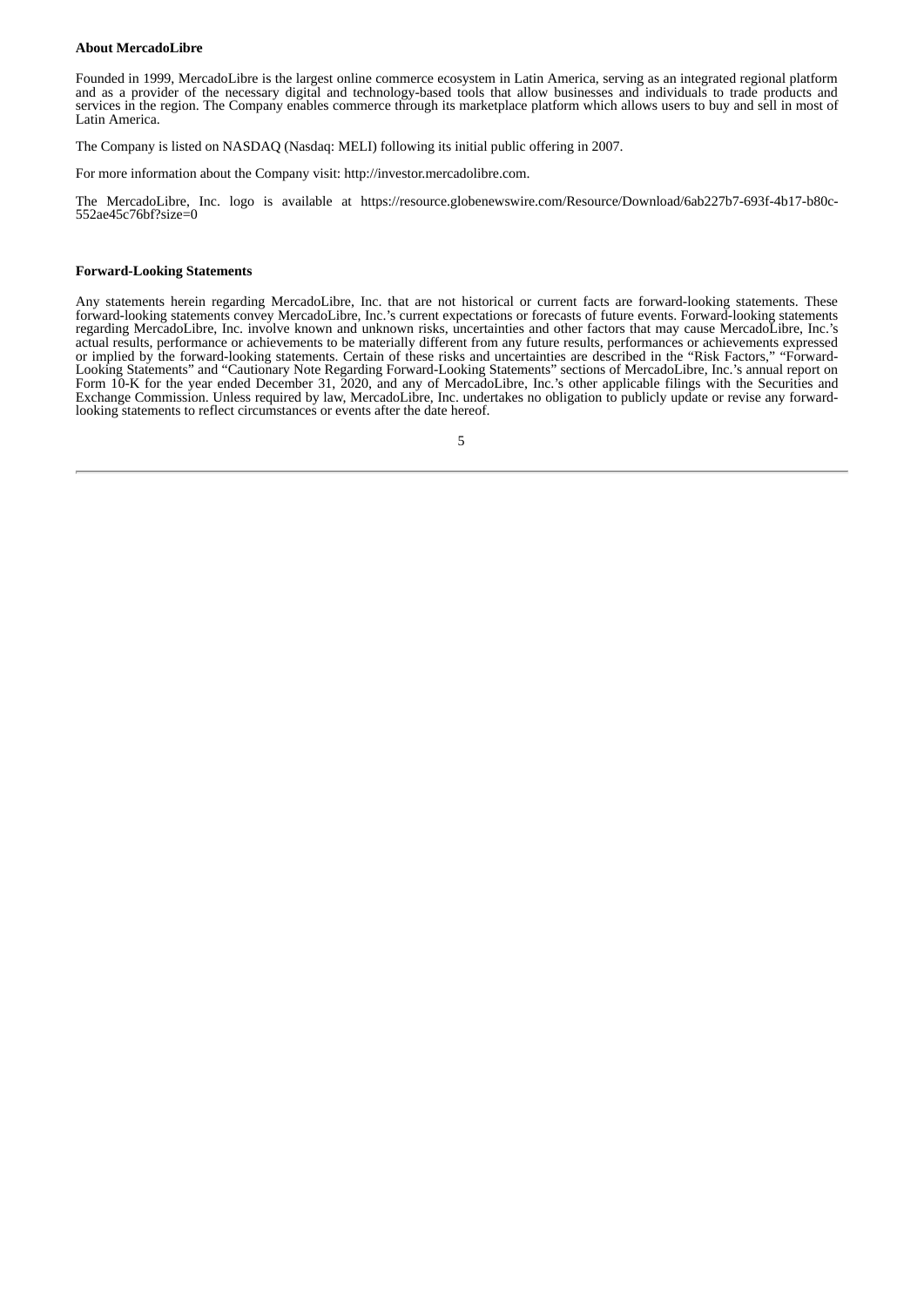#### **About MercadoLibre**

Founded in 1999, MercadoLibre is the largest online commerce ecosystem in Latin America, serving as an integrated regional platform and as a provider of the necessary digital and technology-based tools that allow businesses and individuals to trade products and services in the region. The Company enables commerce through its marketplace platform which allows users to buy and sell in most of Latin America.

The Company is listed on NASDAQ (Nasdaq: MELI) following its initial public offering in 2007.

For more information about the Company visit: http://investor.mercadolibre.com.

The MercadoLibre, Inc. logo is available at https://resource.globenewswire.com/Resource/Download/6ab227b7-693f-4b17-b80c-552ae45c76bf?size=0

#### **Forward-Looking Statements**

Any statements herein regarding MercadoLibre, Inc. that are not historical or current facts are forward-looking statements. These forward-looking statements convey MercadoLibre, Inc.'s current expectations or forecasts of future events. Forward-looking statements regarding MercadoLibre, Inc. involve known and unknown risks, uncertainties and other factors that may cause MercadoLibre, Inc.'s actual results, performance or achievements to be materially different from any future results, performances or achievements expressed or implied by the forward-looking statements. Certain of these risks and uncertainties are described in the "Risk Factors," "Forward-Looking Statements" and "Cautionary Note Regarding Forward-Looking Statements" sections of MercadoLibre, Inc.'s annual report on Form 10-K for the year ended December 31, 2020, and any of MercadoLibre, Inc.'s other applicable filings with the Securities and Exchange Commission. Unless required by law, MercadoLibre, Inc. undertakes no obligation to publicly update or revise any forwardlooking statements to reflect circumstances or events after the date hereof.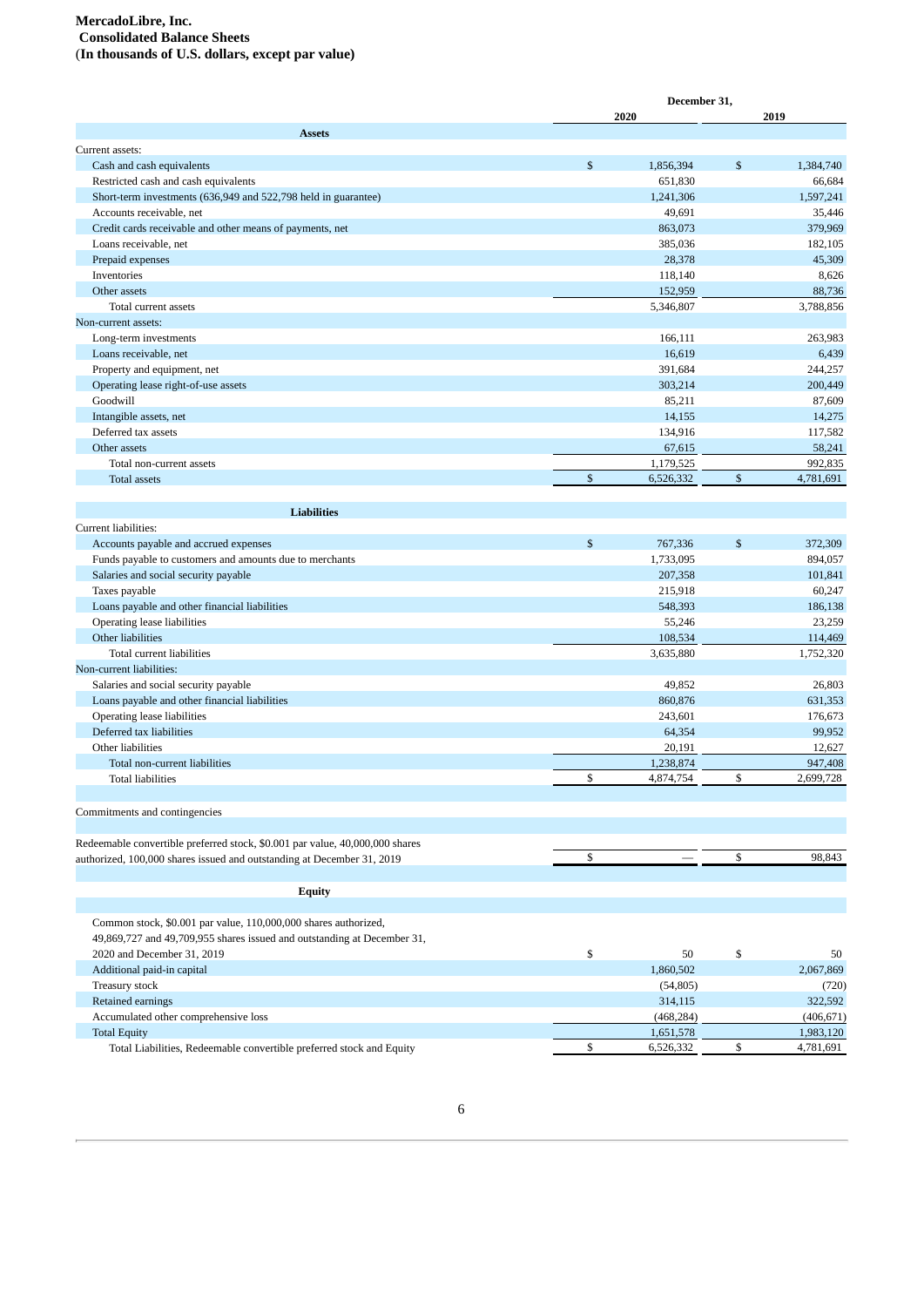#### **MercadoLibre, Inc. Consolidated Balance Sheets**

(**In thousands of U.S. dollars, except par value)**

|                                                                                                        | December 31,                   |              |                      |
|--------------------------------------------------------------------------------------------------------|--------------------------------|--------------|----------------------|
|                                                                                                        | 2020                           |              | 2019                 |
| <b>Assets</b>                                                                                          |                                |              |                      |
| Current assets:                                                                                        |                                |              |                      |
| Cash and cash equivalents                                                                              | \$<br>1,856,394                | \$           | 1,384,740            |
| Restricted cash and cash equivalents<br>Short-term investments (636,949 and 522,798 held in guarantee) | 651,830                        |              | 66,684               |
| Accounts receivable, net                                                                               | 1,241,306<br>49,691            |              | 1,597,241<br>35,446  |
|                                                                                                        | 863,073                        |              | 379,969              |
| Credit cards receivable and other means of payments, net<br>Loans receivable, net                      | 385,036                        |              | 182,105              |
| Prepaid expenses                                                                                       | 28,378                         |              | 45,309               |
| Inventories                                                                                            | 118,140                        |              | 8,626                |
| Other assets                                                                                           | 152,959                        |              | 88,736               |
| Total current assets                                                                                   | 5,346,807                      |              | 3,788,856            |
| Non-current assets:                                                                                    |                                |              |                      |
|                                                                                                        | 166,111                        |              | 263,983              |
| Long-term investments<br>Loans receivable, net                                                         | 16,619                         |              | 6,439                |
|                                                                                                        | 391,684                        |              | 244,257              |
| Property and equipment, net                                                                            | 303,214                        |              | 200,449              |
| Operating lease right-of-use assets<br>Goodwill                                                        |                                |              |                      |
|                                                                                                        | 85,211<br>14,155               |              | 87,609               |
| Intangible assets, net<br>Deferred tax assets                                                          |                                |              | 14,275               |
| Other assets                                                                                           | 134,916                        |              | 117,582              |
|                                                                                                        | 67,615                         |              | 58,241               |
| Total non-current assets<br><b>Total assets</b>                                                        | \$<br>1,179,525<br>6,526,332   | $\mathbb{S}$ | 992,835<br>4,781,691 |
|                                                                                                        |                                |              |                      |
| <b>Liabilities</b>                                                                                     |                                |              |                      |
| Current liabilities:                                                                                   |                                |              |                      |
| Accounts payable and accrued expenses                                                                  | \$<br>767,336                  | $\mathbb{S}$ | 372,309              |
| Funds payable to customers and amounts due to merchants                                                | 1,733,095                      |              | 894,057              |
| Salaries and social security payable                                                                   | 207,358                        |              | 101,841              |
| Taxes payable                                                                                          | 215,918                        |              | 60,247               |
| Loans payable and other financial liabilities                                                          | 548,393                        |              | 186,138              |
| Operating lease liabilities                                                                            | 55,246                         |              | 23,259               |
| Other liabilities                                                                                      | 108,534                        |              | 114,469              |
| Total current liabilities                                                                              | 3,635,880                      |              | 1,752,320            |
| Non-current liabilities:                                                                               |                                |              |                      |
| Salaries and social security payable                                                                   | 49,852                         |              | 26,803               |
| Loans payable and other financial liabilities                                                          | 860,876                        |              | 631,353              |
| Operating lease liabilities                                                                            | 243,601                        |              | 176,673              |
| Deferred tax liabilities                                                                               | 64,354                         |              | 99,952               |
| Other liabilities                                                                                      | 20,191                         |              | 12,627               |
| Total non-current liabilities                                                                          | 1,238,874                      |              | 947,408              |
| <b>Total liabilities</b>                                                                               | \$<br>4,874,754                | \$           | 2,699,728            |
|                                                                                                        |                                |              |                      |
| Commitments and contingencies                                                                          |                                |              |                      |
| Redeemable convertible preferred stock, \$0.001 par value, 40,000,000 shares                           |                                |              |                      |
| authorized, 100,000 shares issued and outstanding at December 31, 2019                                 | \$<br>$\overline{\phantom{0}}$ | \$           | 98,843               |
|                                                                                                        |                                |              |                      |
| <b>Equity</b>                                                                                          |                                |              |                      |
|                                                                                                        |                                |              |                      |
| Common stock, \$0.001 par value, 110,000,000 shares authorized,                                        |                                |              |                      |
| 49,869,727 and 49,709,955 shares issued and outstanding at December 31,                                |                                |              |                      |
| 2020 and December 31, 2019                                                                             | \$<br>50                       | \$           | 50                   |
| Additional paid-in capital                                                                             | 1,860,502                      |              | 2,067,869            |
| Treasury stock                                                                                         | (54, 805)                      |              | (720)                |
| Retained earnings                                                                                      | 314,115                        |              | 322,592              |
| Accumulated other comprehensive loss                                                                   | (468, 284)                     |              | (406, 671)           |
| <b>Total Equity</b>                                                                                    | 1,651,578                      |              | 1,983,120            |
| Total Liabilities, Redeemable convertible preferred stock and Equity                                   | \$<br>6,526,332                | \$           | 4,781,691            |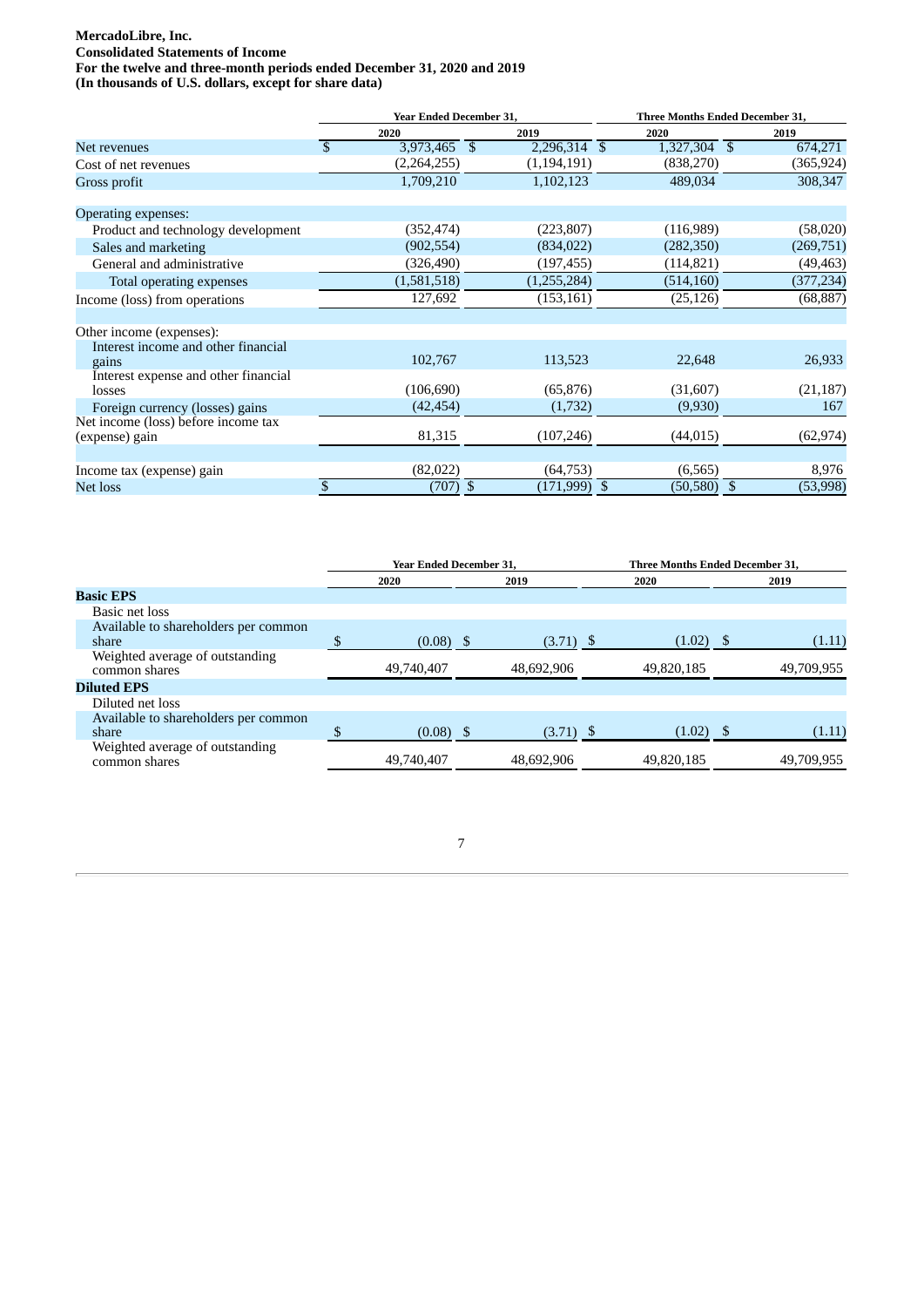# **MercadoLibre, Inc.**

**Consolidated Statements of Income**

**For the twelve and three-month periods ended December 31, 2020 and 2019**

**(In thousands of U.S. dollars, except for share data)**

|                                      | <b>Year Ended December 31,</b> |                | <b>Three Months Ended December 31,</b> |                  |  |
|--------------------------------------|--------------------------------|----------------|----------------------------------------|------------------|--|
|                                      | 2020                           | 2019           | 2020                                   | 2019             |  |
| Net revenues                         | $\mathbb{S}$<br>3,973,465 \$   | 2,296,314 \$   | 1,327,304 \$                           | 674,271          |  |
| Cost of net revenues                 | (2,264,255)                    | (1, 194, 191)  | (838, 270)                             | (365,924)        |  |
| Gross profit                         | 1,709,210                      | 1,102,123      | 489,034                                | 308,347          |  |
|                                      |                                |                |                                        |                  |  |
| Operating expenses:                  |                                |                |                                        |                  |  |
| Product and technology development   | (352, 474)                     | (223, 807)     | (116,989)                              | (58,020)         |  |
| Sales and marketing                  | (902, 554)                     | (834, 022)     | (282, 350)                             | (269, 751)       |  |
| General and administrative           | (326, 490)                     | (197, 455)     | (114, 821)                             | (49,463)         |  |
| Total operating expenses             | (1,581,518)                    | (1,255,284)    | (514, 160)                             | (377, 234)       |  |
| Income (loss) from operations        | 127,692                        | (153, 161)     | (25, 126)                              | (68, 887)        |  |
| Other income (expenses):             |                                |                |                                        |                  |  |
| Interest income and other financial  |                                |                |                                        |                  |  |
| gains                                | 102,767                        | 113,523        | 22,648                                 | 26,933           |  |
| Interest expense and other financial |                                |                |                                        |                  |  |
| losses                               | (106, 690)                     | (65, 876)      | (31,607)                               | (21, 187)        |  |
| Foreign currency (losses) gains      | (42, 454)                      | (1,732)        | (9,930)                                | 167              |  |
| Net income (loss) before income tax  |                                |                |                                        |                  |  |
| (expense) gain                       | 81,315                         | (107, 246)     | (44, 015)                              | (62, 974)        |  |
|                                      |                                |                |                                        |                  |  |
| Income tax (expense) gain            | (82,022)                       | (64, 753)      | (6, 565)                               | 8,976            |  |
| Net loss                             | \$<br>$(707)$ \$               | $(171,999)$ \$ | (50, 580)                              | (53,998)<br>- \$ |  |

|                                                  | <b>Year Ended December 31.</b> |             |            | <b>Three Months Ended December 31.</b> |  |  |
|--------------------------------------------------|--------------------------------|-------------|------------|----------------------------------------|--|--|
|                                                  | 2020                           | 2019        | 2020       | 2019                                   |  |  |
| <b>Basic EPS</b>                                 |                                |             |            |                                        |  |  |
| Basic net loss                                   |                                |             |            |                                        |  |  |
| Available to shareholders per common             |                                |             |            |                                        |  |  |
| share                                            | $(0.08)$ \$                    | $(3.71)$ \$ | (1.02)     | (1.11)                                 |  |  |
| Weighted average of outstanding<br>common shares | 49,740,407                     | 48,692,906  | 49,820,185 | 49,709,955                             |  |  |
| <b>Diluted EPS</b>                               |                                |             |            |                                        |  |  |
| Diluted net loss                                 |                                |             |            |                                        |  |  |
| Available to shareholders per common             |                                |             |            |                                        |  |  |
| share                                            | $(0.08)$ \$                    | $(3.71)$ \$ | (1.02)     | (1.11)                                 |  |  |
| Weighted average of outstanding<br>common shares | 49,740,407                     | 48,692,906  | 49,820,185 | 49,709,955                             |  |  |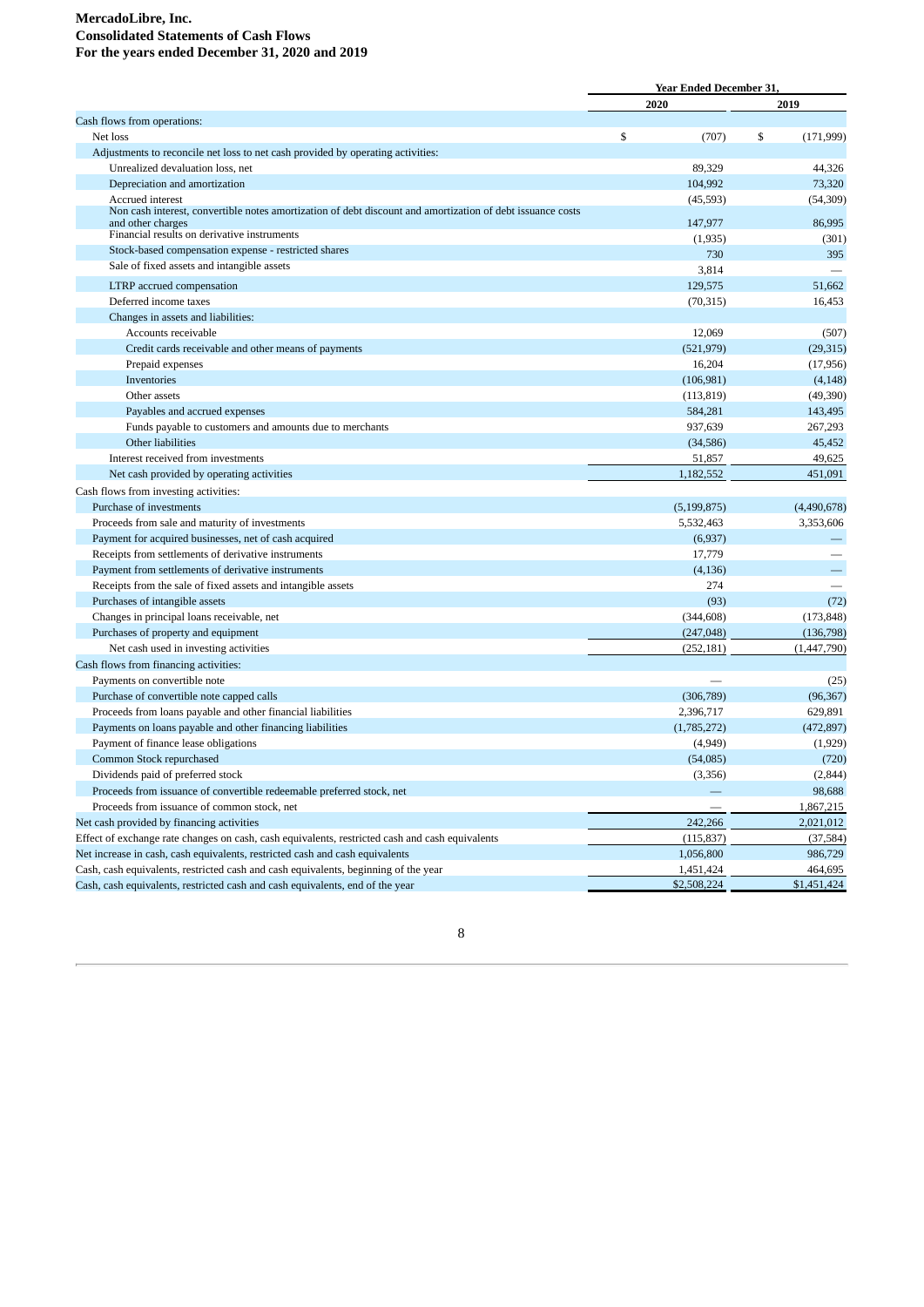#### **MercadoLibre, Inc. Consolidated Statements of Cash Flows For the years ended December 31, 2020 and 2019**

|                                                                                                                                 | <b>Year Ended December 31.</b> |                        |
|---------------------------------------------------------------------------------------------------------------------------------|--------------------------------|------------------------|
|                                                                                                                                 | 2020                           | 2019                   |
| Cash flows from operations:                                                                                                     |                                |                        |
| Net loss                                                                                                                        | \$<br>(707)                    | \$<br>(171, 999)       |
| Adjustments to reconcile net loss to net cash provided by operating activities:                                                 |                                |                        |
| Unrealized devaluation loss, net                                                                                                | 89,329                         | 44,326                 |
| Depreciation and amortization                                                                                                   | 104,992                        | 73,320                 |
| Accrued interest                                                                                                                | (45, 593)                      | (54, 309)              |
| Non cash interest, convertible notes amortization of debt discount and amortization of debt issuance costs<br>and other charges | 147,977                        | 86,995                 |
| Financial results on derivative instruments                                                                                     |                                |                        |
| Stock-based compensation expense - restricted shares                                                                            | (1,935)<br>730                 | (301)<br>395           |
| Sale of fixed assets and intangible assets                                                                                      | 3,814                          |                        |
| LTRP accrued compensation                                                                                                       | 129,575                        | 51,662                 |
| Deferred income taxes                                                                                                           | (70, 315)                      | 16,453                 |
| Changes in assets and liabilities:                                                                                              |                                |                        |
| Accounts receivable                                                                                                             | 12,069                         | (507)                  |
| Credit cards receivable and other means of payments                                                                             |                                |                        |
|                                                                                                                                 | (521, 979)<br>16,204           | (29, 315)              |
| Prepaid expenses<br>Inventories                                                                                                 | (106, 981)                     | (17, 956)              |
| Other assets                                                                                                                    |                                | (4, 148)               |
| Payables and accrued expenses                                                                                                   | (113, 819)<br>584,281          | (49,390)<br>143,495    |
|                                                                                                                                 | 937,639                        | 267,293                |
| Funds payable to customers and amounts due to merchants<br>Other liabilities                                                    |                                | 45,452                 |
|                                                                                                                                 | (34, 586)<br>51,857            | 49,625                 |
| Interest received from investments                                                                                              | 1,182,552                      | 451,091                |
| Net cash provided by operating activities                                                                                       |                                |                        |
| Cash flows from investing activities:                                                                                           |                                |                        |
| Purchase of investments                                                                                                         | (5, 199, 875)                  | (4,490,678)            |
| Proceeds from sale and maturity of investments                                                                                  | 5,532,463                      | 3,353,606              |
| Payment for acquired businesses, net of cash acquired                                                                           | (6,937)                        |                        |
| Receipts from settlements of derivative instruments                                                                             | 17,779                         |                        |
| Payment from settlements of derivative instruments                                                                              | (4, 136)                       |                        |
| Receipts from the sale of fixed assets and intangible assets                                                                    | 274                            |                        |
| Purchases of intangible assets                                                                                                  | (93)                           | (72)                   |
| Changes in principal loans receivable, net                                                                                      | (344, 608)                     | (173, 848)             |
| Purchases of property and equipment                                                                                             | (247, 048)                     | (136,798)              |
| Net cash used in investing activities                                                                                           | (252, 181)                     | (1, 447, 790)          |
| Cash flows from financing activities:                                                                                           |                                |                        |
| Payments on convertible note                                                                                                    |                                | (25)                   |
| Purchase of convertible note capped calls                                                                                       | (306, 789)                     | (96, 367)              |
| Proceeds from loans payable and other financial liabilities                                                                     | 2,396,717                      | 629,891                |
| Payments on loans payable and other financing liabilities                                                                       | (1,785,272)                    | (472, 897)             |
| Payment of finance lease obligations                                                                                            | (4,949)                        | (1,929)                |
| Common Stock repurchased                                                                                                        | (54,085)                       | (720)                  |
| Dividends paid of preferred stock                                                                                               | (3,356)                        | (2, 844)               |
| Proceeds from issuance of convertible redeemable preferred stock, net                                                           |                                | 98,688                 |
| Proceeds from issuance of common stock, net                                                                                     |                                | 1,867,215              |
| Net cash provided by financing activities                                                                                       | 242,266                        | 2,021,012              |
| Effect of exchange rate changes on cash, cash equivalents, restricted cash and cash equivalents                                 | (115, 837)                     | (37, 584)              |
| Net increase in cash, cash equivalents, restricted cash and cash equivalents                                                    | 1,056,800                      | 986,729                |
| Cash, cash equivalents, restricted cash and cash equivalents, beginning of the year                                             | 1,451,424<br>\$2,508,224       | 464,695<br>\$1,451,424 |
| Cash, cash equivalents, restricted cash and cash equivalents, end of the year                                                   |                                |                        |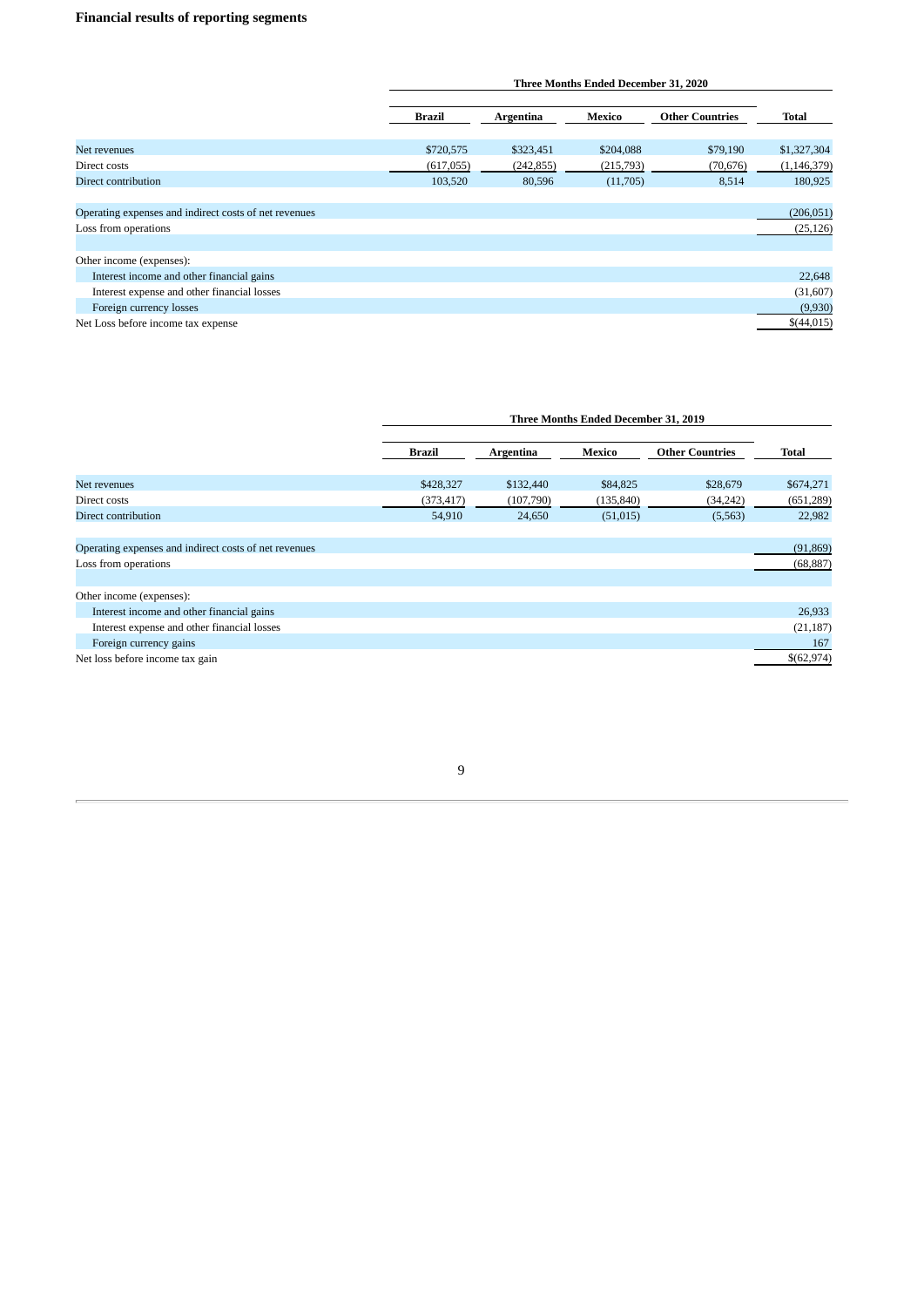# **Financial results of reporting segments**

|                                                       |               | Three Months Ended December 31, 2020 |           |                        |               |  |  |  |
|-------------------------------------------------------|---------------|--------------------------------------|-----------|------------------------|---------------|--|--|--|
|                                                       | <b>Brazil</b> | Argentina                            | Mexico    | <b>Other Countries</b> | Total         |  |  |  |
| Net revenues                                          | \$720,575     | \$323,451                            | \$204,088 | \$79,190               | \$1,327,304   |  |  |  |
| Direct costs                                          | (617,055)     | (242, 855)                           | (215,793) | (70, 676)              | (1, 146, 379) |  |  |  |
| <b>Direct contribution</b>                            | 103,520       | 80,596                               | (11,705)  | 8,514                  | 180,925       |  |  |  |
| Operating expenses and indirect costs of net revenues |               |                                      |           |                        | (206, 051)    |  |  |  |
| Loss from operations                                  |               |                                      |           |                        | (25, 126)     |  |  |  |
| Other income (expenses):                              |               |                                      |           |                        |               |  |  |  |
| Interest income and other financial gains             |               |                                      |           |                        | 22,648        |  |  |  |
| Interest expense and other financial losses           |               |                                      |           |                        | (31,607)      |  |  |  |
| Foreign currency losses                               |               |                                      |           |                        | (9,930)       |  |  |  |
| Net Loss before income tax expense                    |               |                                      |           |                        | \$(44,015)    |  |  |  |

| Three Months Ended December 31, 2019 |  |  |  |  |  |  |  |
|--------------------------------------|--|--|--|--|--|--|--|
|--------------------------------------|--|--|--|--|--|--|--|

|                                                       | <b>Brazil</b> | Argentina | Mexico     | <b>Other Countries</b> | <b>Total</b> |
|-------------------------------------------------------|---------------|-----------|------------|------------------------|--------------|
|                                                       |               |           |            |                        |              |
| Net revenues                                          | \$428,327     | \$132,440 | \$84,825   | \$28,679               | \$674,271    |
| Direct costs                                          | (373, 417)    | (107,790) | (135, 840) | (34, 242)              | (651, 289)   |
| Direct contribution                                   | 54,910        | 24,650    | (51, 015)  | (5,563)                | 22,982       |
|                                                       |               |           |            |                        |              |
| Operating expenses and indirect costs of net revenues |               |           |            |                        | (91, 869)    |
| Loss from operations                                  |               |           |            |                        | (68, 887)    |
|                                                       |               |           |            |                        |              |
| Other income (expenses):                              |               |           |            |                        |              |
| Interest income and other financial gains             |               |           |            |                        | 26,933       |
| Interest expense and other financial losses           |               |           |            |                        | (21, 187)    |
| Foreign currency gains                                |               |           |            |                        | 167          |
| Net loss before income tax gain                       |               |           |            |                        | \$(62,974)   |